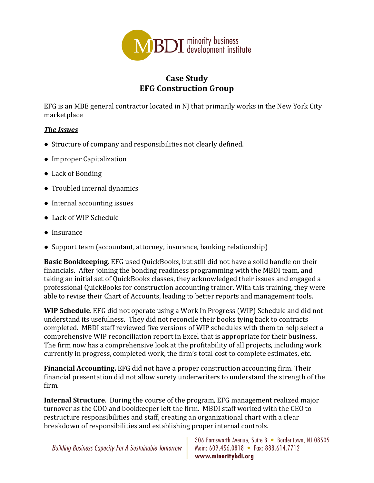

## **Case Study EFG Construction Group**

EFG is an MBE general contractor located in NJ that primarily works in the New York City marketplace 

## *The Issues*

- Structure of company and responsibilities not clearly defined.
- Improper Capitalization
- Lack of Bonding
- Troubled internal dynamics
- Internal accounting issues
- Lack of WIP Schedule
- Insurance
- Support team (accountant, attorney, insurance, banking relationship)

**Basic Bookkeeping.** EFG used QuickBooks, but still did not have a solid handle on their financials. After joining the bonding readiness programming with the MBDI team, and taking an initial set of QuickBooks classes, they acknowledged their issues and engaged a professional QuickBooks for construction accounting trainer. With this training, they were able to revise their Chart of Accounts, leading to better reports and management tools.

**WIP Schedule**. EFG did not operate using a Work In Progress (WIP) Schedule and did not understand its usefulness. They did not reconcile their books tying back to contracts completed. MBDI staff reviewed five versions of WIP schedules with them to help select a comprehensive WIP reconciliation report in Excel that is appropriate for their business. The firm now has a comprehensive look at the profitability of all projects, including work currently in progress, completed work, the firm's total cost to complete estimates, etc.

**Financial Accounting.** EFG did not have a proper construction accounting firm. Their financial presentation did not allow surety underwriters to understand the strength of the firm. 

**Internal Structure**. During the course of the program, EFG management realized major turnover as the COO and bookkeeper left the firm. MBDI staff worked with the CEO to restructure responsibilities and staff, creating an organizational chart with a clear breakdown of responsibilities and establishing proper internal controls.